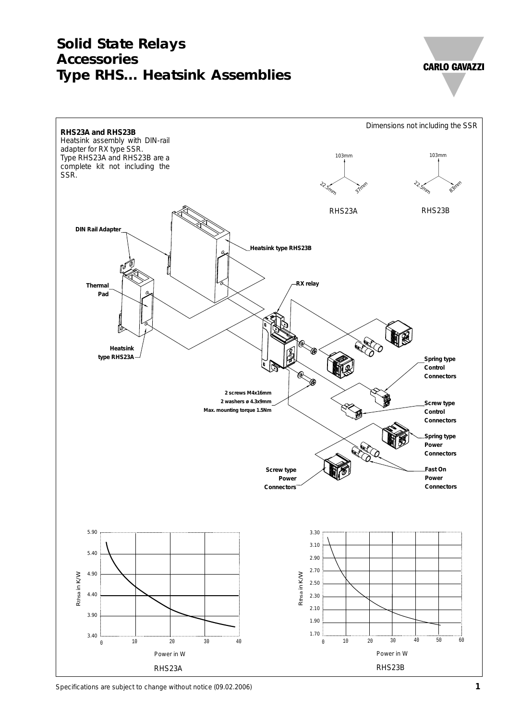# **Solid State Relays Accessories Type RHS... Heatsink Assemblies**

**CARLO GAVAZZI** 



Specifications are subject to change without notice (09.02.2006) **1**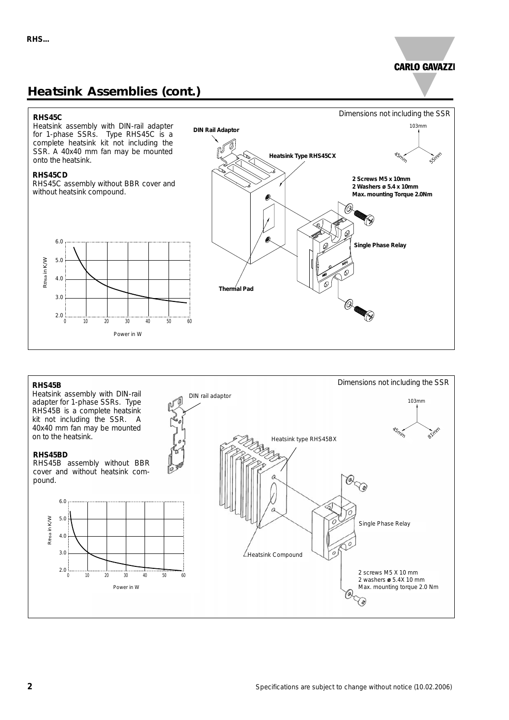## **Heatsink Assemblies (cont.)**

### **CARLO GAVAZZI**



#### **RHS45B**

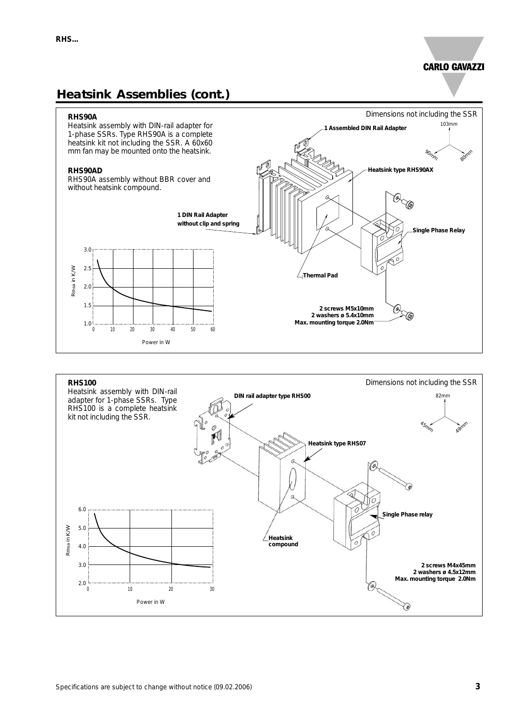103mm

90mm

Dimensions not including the SSR

80mm

**1 Assembled DIN Rail Adapter**

**Heatsink type RHS90AX**

### **Heatsink Assemblies (cont.)**



Heatsink assembly with DIN-rail adapter for 1-phase SSRs. Type RHS90A is a complete heatsink kit not including the SSR. A 60x60 mm fan may be mounted onto the heatsink.

#### **RHS90AD**

RHS90A assembly without BBR cover and



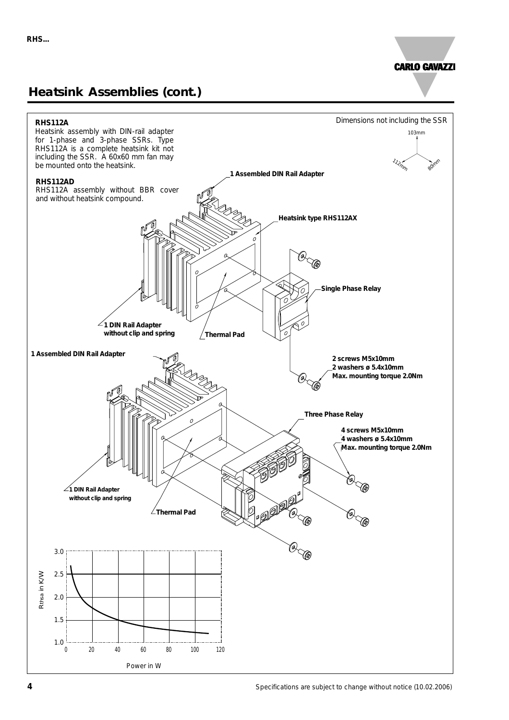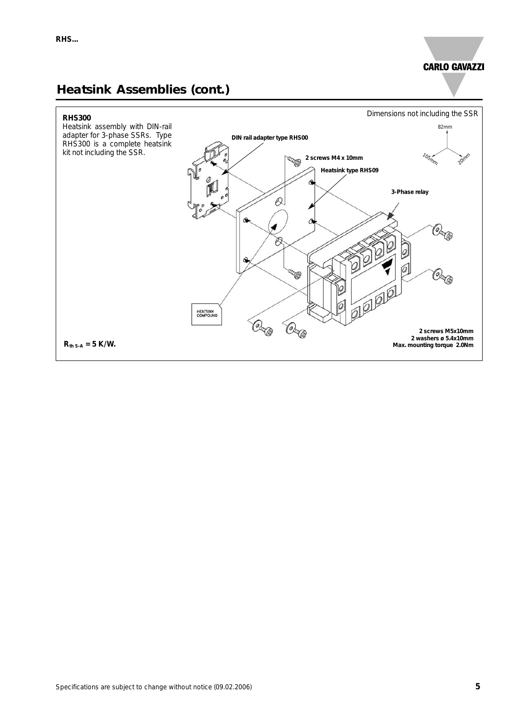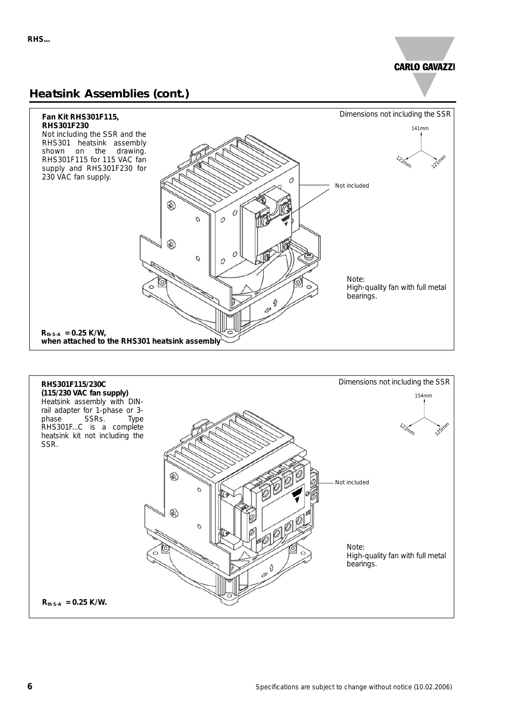

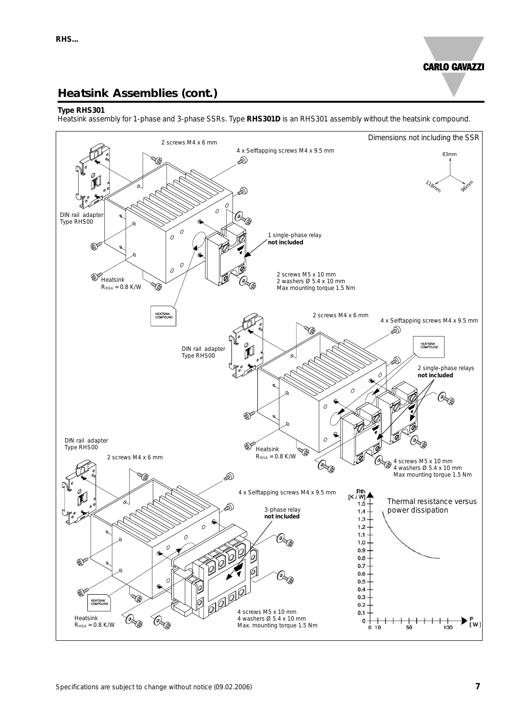### **Heatsink Assemblies (cont.)**

#### **Type RHS301**

Heatsink assembly for 1-phase and 3-phase SSRs. Type **RHS301D** is an RHS301 assembly without the heatsink compound.